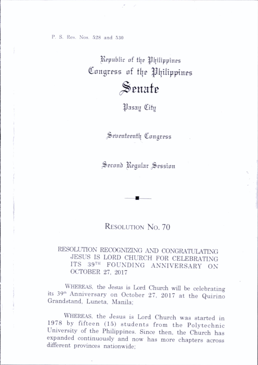P. S. Res. Nos. 528 and 550

Republic of the Philippines Congress of the Philippines

## $\mathcal S$ enate

^^asay City

Seuenteenth Congress

Second Regular Session

## RESOLUTION No. 70

## RESOLUTION RECOGNIZING ANT) CONGRATULATING JESUS IS LORD CHURCH FOR CELEBRATING ITS 39<sup>TH</sup> FOUNDING ANNIVERSARY ON OCTOBER 27, 2017

WHEREAS, the Jesus is Lord Church will be celebrating its 39"' Anniversary on October 27, 2017 at the Quirino Grandstand, Luneta, Manila;

WHEREAS, the Jesus is Lord Church was started in 1978 by fifteen (15) students from the Polytechnic University of the Philippines. Since then, the Church has expanded continuously and now has more chapters across different provinces nationwide;